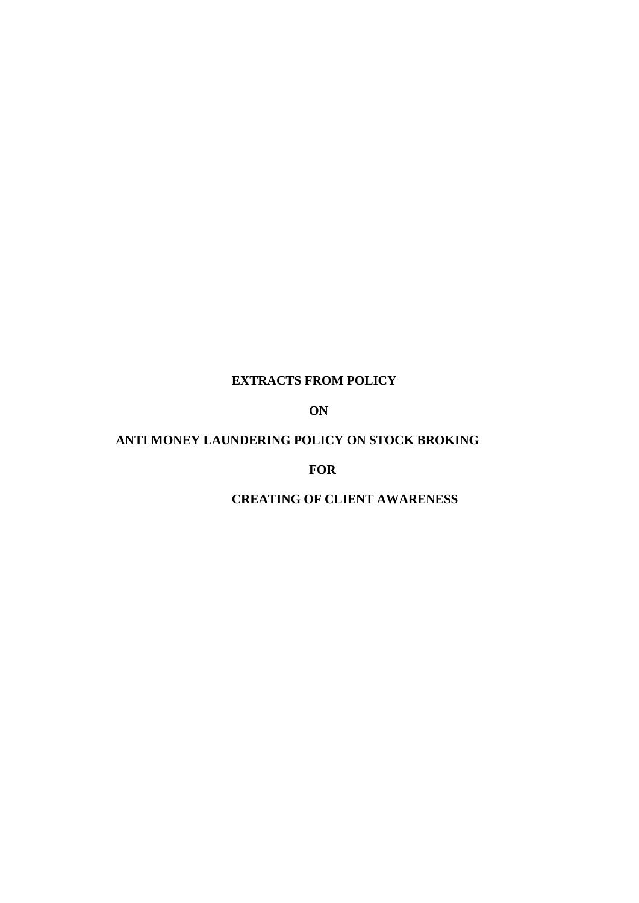## **EXTRACTS FROM POLICY**

## **ON**

# **ANTI MONEY LAUNDERING POLICY ON STOCK BROKING**

#### **FOR**

## **CREATING OF CLIENT AWARENESS**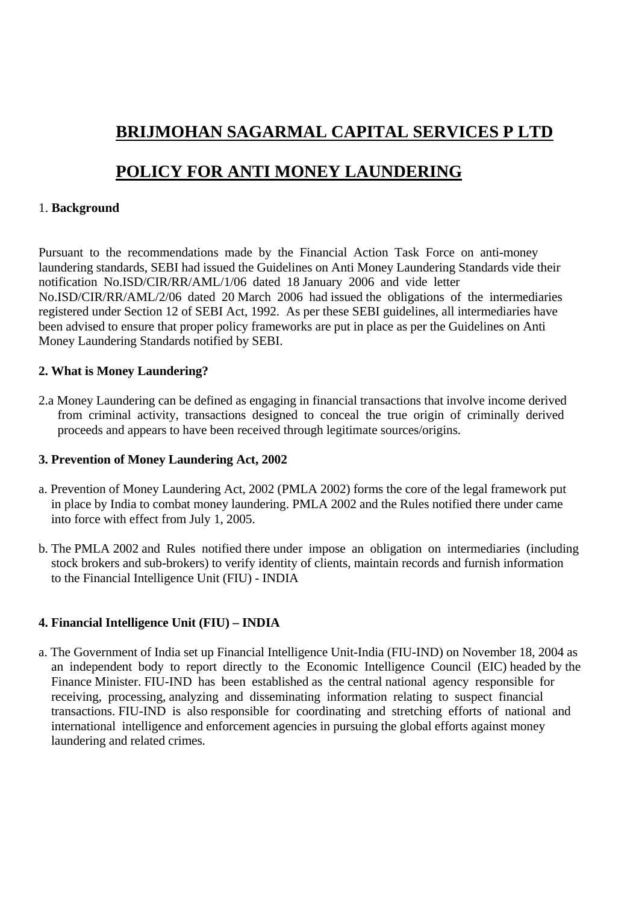# **BRIJMOHAN SAGARMAL CAPITAL SERVICES P LTD**

# **POLICY FOR ANTI MONEY LAUNDERING**

# 1. **Background**

Pursuant to the recommendations made by the Financial Action Task Force on anti-money laundering standards, SEBI had issued the Guidelines on Anti Money Laundering Standards vide their notification No.ISD/CIR/RR/AML/1/06 dated 18 January 2006 and vide letter No.ISD/CIR/RR/AML/2/06 dated 20 March 2006 had issued the obligations of the intermediaries registered under Section 12 of SEBI Act, 1992. As per these SEBI guidelines, all intermediaries have been advised to ensure that proper policy frameworks are put in place as per the Guidelines on Anti Money Laundering Standards notified by SEBI.

## **2. What is Money Laundering?**

2.a Money Laundering can be defined as engaging in financial transactions that involve income derived from criminal activity, transactions designed to conceal the true origin of criminally derived proceeds and appears to have been received through legitimate sources/origins.

## **3. Prevention of Money Laundering Act, 2002**

- a. Prevention of Money Laundering Act, 2002 (PMLA 2002) forms the core of the legal framework put in place by India to combat money laundering. PMLA 2002 and the Rules notified there under came into force with effect from July 1, 2005.
- b. The PMLA 2002 and Rules notified there under impose an obligation on intermediaries (including stock brokers and sub-brokers) to verify identity of clients, maintain records and furnish information to the Financial Intelligence Unit (FIU) - INDIA

# **4. Financial Intelligence Unit (FIU) – INDIA**

a. The Government of India set up Financial Intelligence Unit-India (FIU-IND) on November 18, 2004 as an independent body to report directly to the Economic Intelligence Council (EIC) headed by the Finance Minister. FIU-IND has been established as the central national agency responsible for receiving, processing, analyzing and disseminating information relating to suspect financial transactions. FIU-IND is also responsible for coordinating and stretching efforts of national and international intelligence and enforcement agencies in pursuing the global efforts against money laundering and related crimes.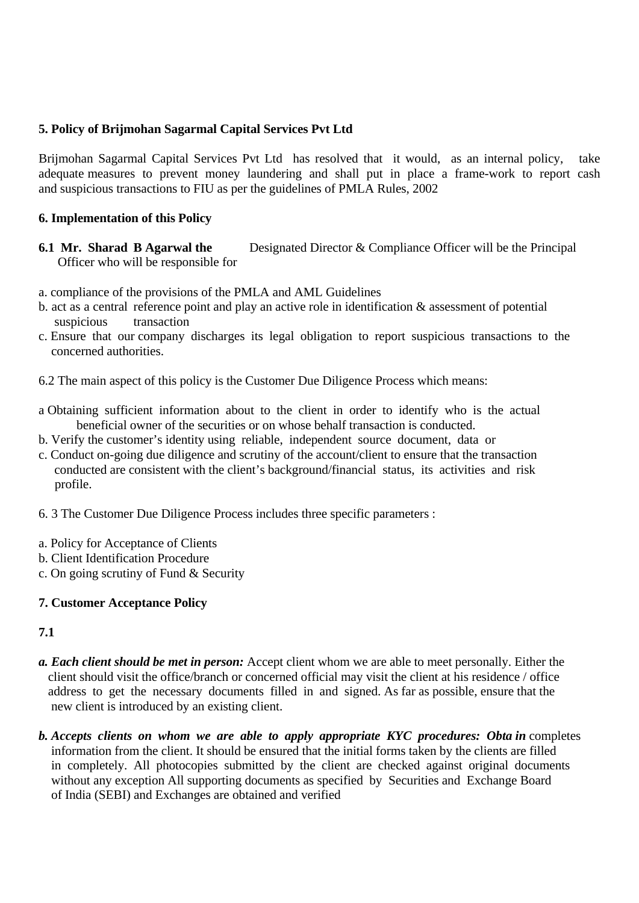## **5. Policy of Brijmohan Sagarmal Capital Services Pvt Ltd**

Brijmohan Sagarmal Capital Services Pvt Ltd has resolved that it would, as an internal policy, take adequate measures to prevent money laundering and shall put in place a frame-work to report cash and suspicious transactions to FIU as per the guidelines of PMLA Rules, 2002

## **6. Implementation of this Policy**

- **6.1 Mr. Sharad B Agarwal the** Designated Director & Compliance Officer will be the Principal Officer who will be responsible for
- a. compliance of the provisions of the PMLA and AML Guidelines
- b. act as a central reference point and play an active role in identification & assessment of potential suspicious transaction
- c. Ensure that our company discharges its legal obligation to report suspicious transactions to the concerned authorities.
- 6.2 The main aspect of this policy is the Customer Due Diligence Process which means:
- a Obtaining sufficient information about to the client in order to identify who is the actual beneficial owner of the securities or on whose behalf transaction is conducted.
- b. Verify the customer's identity using reliable, independent source document, data or
- c. Conduct on-going due diligence and scrutiny of the account/client to ensure that the transaction conducted are consistent with the client's background/financial status, its activities and risk profile.
- 6. 3 The Customer Due Diligence Process includes three specific parameters :
- a. Policy for Acceptance of Clients
- b. Client Identification Procedure
- c. On going scrutiny of Fund & Security

## **7. Customer Acceptance Policy**

## **7.1**

- *a. Each client should be met in person:* Accept client whom we are able to meet personally. Either the client should visit the office/branch or concerned official may visit the client at his residence / office address to get the necessary documents filled in and signed. As far as possible, ensure that the new client is introduced by an existing client.
- *b. Accepts clients on whom we are able to apply appropriate KYC procedures: Obta in* completes information from the client. It should be ensured that the initial forms taken by the clients are filled in completely. All photocopies submitted by the client are checked against original documents without any exception All supporting documents as specified by Securities and Exchange Board of India (SEBI) and Exchanges are obtained and verified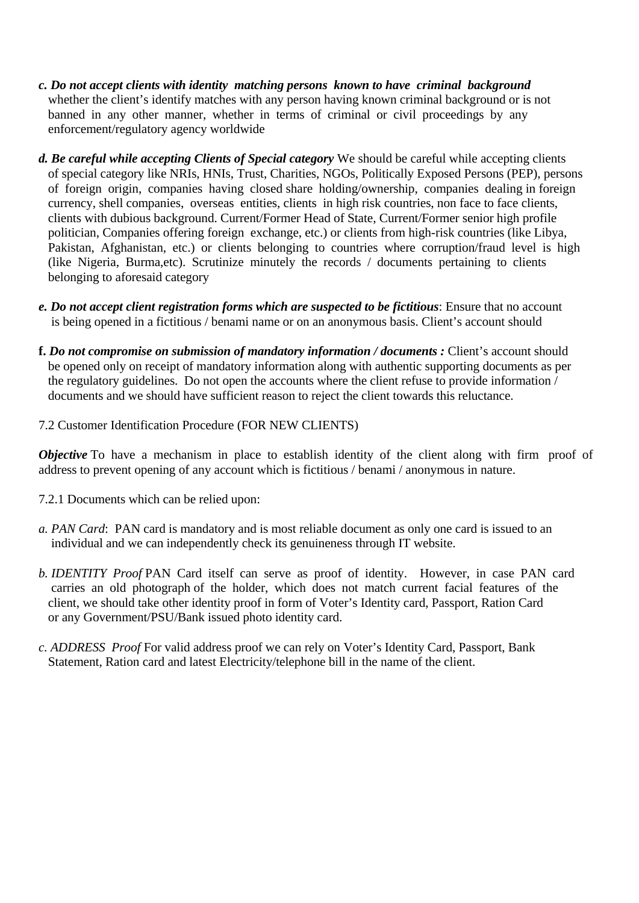- *c. Do not accept clients with identity matching persons known to have criminal background* whether the client's identify matches with any person having known criminal background or is not banned in any other manner, whether in terms of criminal or civil proceedings by any enforcement/regulatory agency worldwide
- *d. Be careful while accepting Clients of Special category* We should be careful while accepting clients of special category like NRIs, HNIs, Trust, Charities, NGOs, Politically Exposed Persons (PEP), persons of foreign origin, companies having closed share holding/ownership, companies dealing in foreign currency, shell companies, overseas entities, clients in high risk countries, non face to face clients, clients with dubious background. Current/Former Head of State, Current/Former senior high profile politician, Companies offering foreign exchange, etc.) or clients from high-risk countries (like Libya, Pakistan, Afghanistan, etc.) or clients belonging to countries where corruption/fraud level is high (like Nigeria, Burma,etc). Scrutinize minutely the records / documents pertaining to clients belonging to aforesaid category
- *e. Do not accept client registration forms which are suspected to be fictitious*: Ensure that no account is being opened in a fictitious / benami name or on an anonymous basis. Client's account should
- **f.** *Do not compromise on submission of mandatory information / documents :* Client's account should be opened only on receipt of mandatory information along with authentic supporting documents as per the regulatory guidelines. Do not open the accounts where the client refuse to provide information / documents and we should have sufficient reason to reject the client towards this reluctance.
- 7.2 Customer Identification Procedure (FOR NEW CLIENTS)

*Objective* To have a mechanism in place to establish identity of the client along with firm proof of address to prevent opening of any account which is fictitious / benami / anonymous in nature.

- 7.2.1 Documents which can be relied upon:
- *a. PAN Card*: PAN card is mandatory and is most reliable document as only one card is issued to an individual and we can independently check its genuineness through IT website.
- *b. IDENTITY Proof* PAN Card itself can serve as proof of identity. However, in case PAN card carries an old photograph of the holder, which does not match current facial features of the client, we should take other identity proof in form of Voter's Identity card, Passport, Ration Card or any Government/PSU/Bank issued photo identity card.
- *c. ADDRESS Proof* For valid address proof we can rely on Voter's Identity Card, Passport, Bank Statement, Ration card and latest Electricity/telephone bill in the name of the client.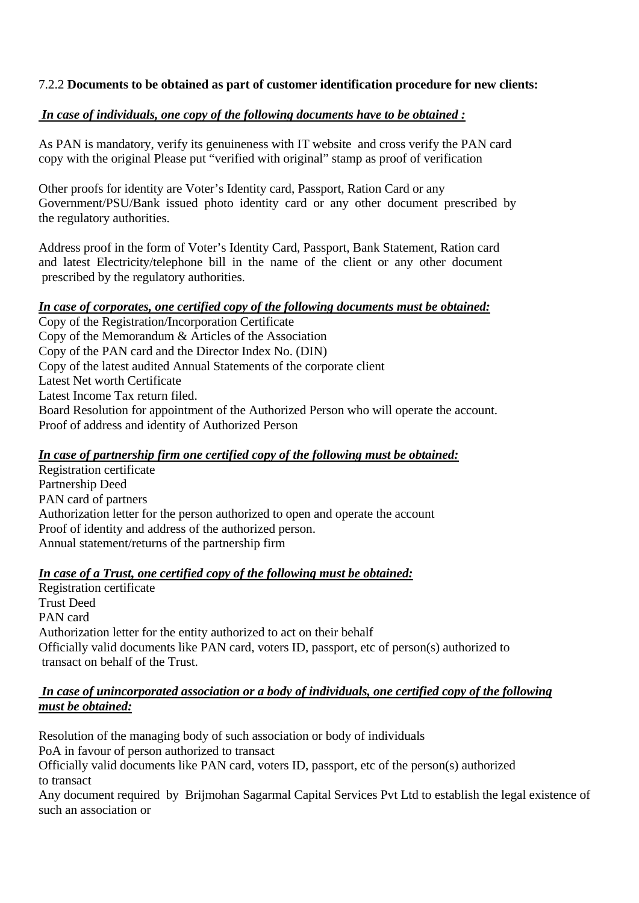# 7.2.2 **Documents to be obtained as part of customer identification procedure for new clients:**

# *In case of individuals, one copy of the following documents have to be obtained :*

As PAN is mandatory, verify its genuineness with IT website and cross verify the PAN card copy with the original Please put "verified with original" stamp as proof of verification

Other proofs for identity are Voter's Identity card, Passport, Ration Card or any Government/PSU/Bank issued photo identity card or any other document prescribed by the regulatory authorities.

Address proof in the form of Voter's Identity Card, Passport, Bank Statement, Ration card and latest Electricity/telephone bill in the name of the client or any other document prescribed by the regulatory authorities.

# *In case of corporates, one certified copy of the following documents must be obtained:*

Copy of the Registration/Incorporation Certificate Copy of the Memorandum & Articles of the Association Copy of the PAN card and the Director Index No. (DIN) Copy of the latest audited Annual Statements of the corporate client Latest Net worth Certificate Latest Income Tax return filed. Board Resolution for appointment of the Authorized Person who will operate the account. Proof of address and identity of Authorized Person

## *In case of partnership firm one certified copy of the following must be obtained:*

Registration certificate Partnership Deed PAN card of partners Authorization letter for the person authorized to open and operate the account Proof of identity and address of the authorized person. Annual statement/returns of the partnership firm

## *In case of a Trust, one certified copy of the following must be obtained:*

Registration certificate Trust Deed PAN card Authorization letter for the entity authorized to act on their behalf Officially valid documents like PAN card, voters ID, passport, etc of person(s) authorized to transact on behalf of the Trust.

## *In case of unincorporated association or a body of individuals, one certified copy of the following must be obtained:*

Resolution of the managing body of such association or body of individuals PoA in favour of person authorized to transact Officially valid documents like PAN card, voters ID, passport, etc of the person(s) authorized to transact

Any document required by Brijmohan Sagarmal Capital Services Pvt Ltd to establish the legal existence of such an association or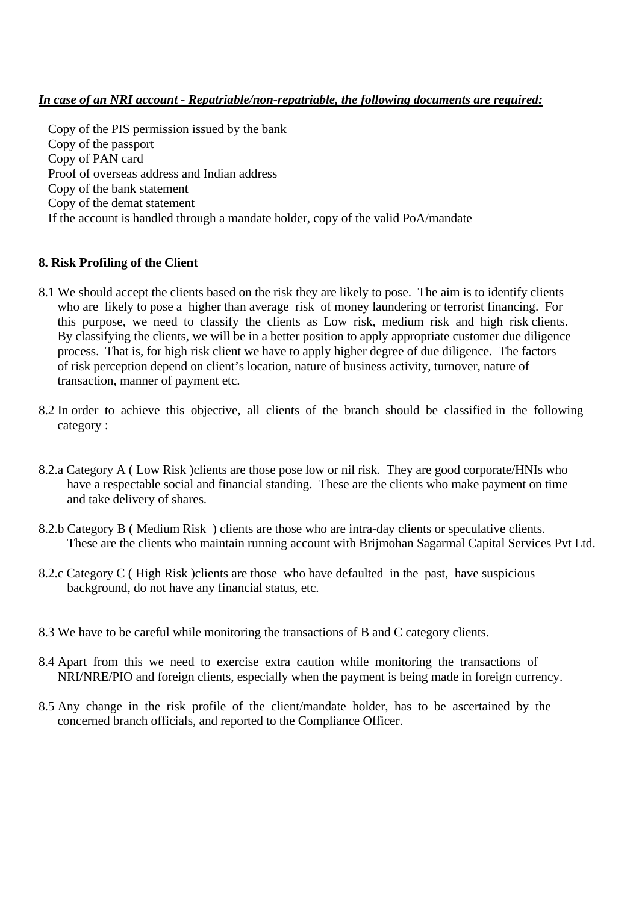## *In case of an NRI account - Repatriable/non-repatriable, the following documents are required:*

 Copy of the PIS permission issued by the bank Copy of the passport Copy of PAN card Proof of overseas address and Indian address Copy of the bank statement Copy of the demat statement If the account is handled through a mandate holder, copy of the valid PoA/mandate

## **8. Risk Profiling of the Client**

- 8.1 We should accept the clients based on the risk they are likely to pose. The aim is to identify clients who are likely to pose a higher than average risk of money laundering or terrorist financing. For this purpose, we need to classify the clients as Low risk, medium risk and high risk clients. By classifying the clients, we will be in a better position to apply appropriate customer due diligence process. That is, for high risk client we have to apply higher degree of due diligence. The factors of risk perception depend on client's location, nature of business activity, turnover, nature of transaction, manner of payment etc.
- 8.2 In order to achieve this objective, all clients of the branch should be classified in the following category :
- 8.2.a Category A ( Low Risk )clients are those pose low or nil risk. They are good corporate/HNIs who have a respectable social and financial standing. These are the clients who make payment on time and take delivery of shares.
- 8.2.b Category B (Medium Risk) clients are those who are intra-day clients or speculative clients. These are the clients who maintain running account with Brijmohan Sagarmal Capital Services Pvt Ltd.
- 8.2.c Category C ( High Risk )clients are those who have defaulted in the past, have suspicious background, do not have any financial status, etc.
- 8.3 We have to be careful while monitoring the transactions of B and C category clients.
- 8.4 Apart from this we need to exercise extra caution while monitoring the transactions of NRI/NRE/PIO and foreign clients, especially when the payment is being made in foreign currency.
- 8.5 Any change in the risk profile of the client/mandate holder, has to be ascertained by the concerned branch officials, and reported to the Compliance Officer.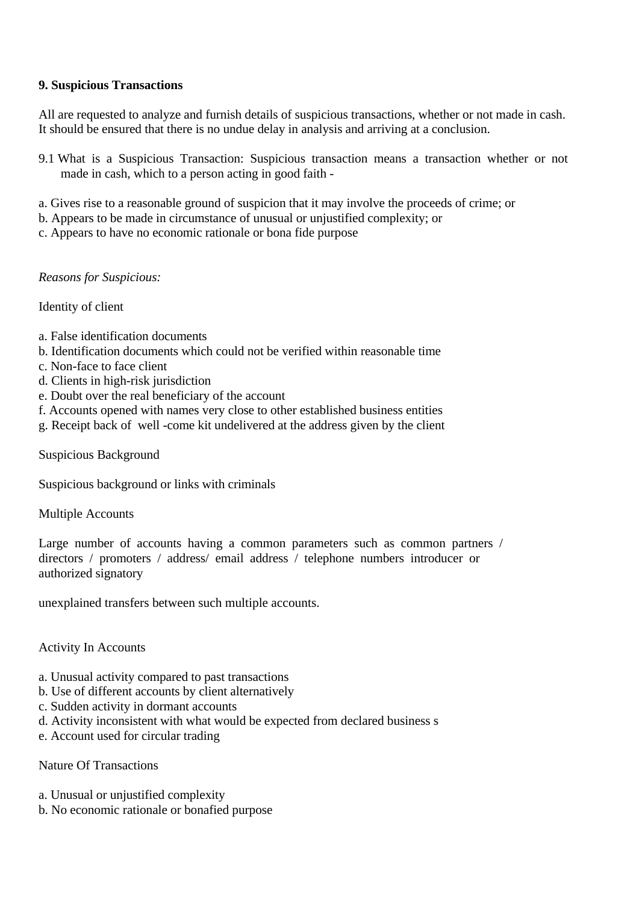## **9. Suspicious Transactions**

All are requested to analyze and furnish details of suspicious transactions, whether or not made in cash. It should be ensured that there is no undue delay in analysis and arriving at a conclusion.

- 9.1 What is a Suspicious Transaction: Suspicious transaction means a transaction whether or not made in cash, which to a person acting in good faith -
- a. Gives rise to a reasonable ground of suspicion that it may involve the proceeds of crime; or
- b. Appears to be made in circumstance of unusual or unjustified complexity; or
- c. Appears to have no economic rationale or bona fide purpose

## *Reasons for Suspicious:*

## Identity of client

- a. False identification documents
- b. Identification documents which could not be verified within reasonable time
- c. Non-face to face client
- d. Clients in high-risk jurisdiction
- e. Doubt over the real beneficiary of the account
- f. Accounts opened with names very close to other established business entities
- g. Receipt back of well -come kit undelivered at the address given by the client

Suspicious Background

Suspicious background or links with criminals

Multiple Accounts

Large number of accounts having a common parameters such as common partners / directors / promoters / address/ email address / telephone numbers introducer or authorized signatory

unexplained transfers between such multiple accounts.

## Activity In Accounts

- a. Unusual activity compared to past transactions
- b. Use of different accounts by client alternatively
- c. Sudden activity in dormant accounts
- d. Activity inconsistent with what would be expected from declared business s
- e. Account used for circular trading

## Nature Of Transactions

- a. Unusual or unjustified complexity
- b. No economic rationale or bonafied purpose